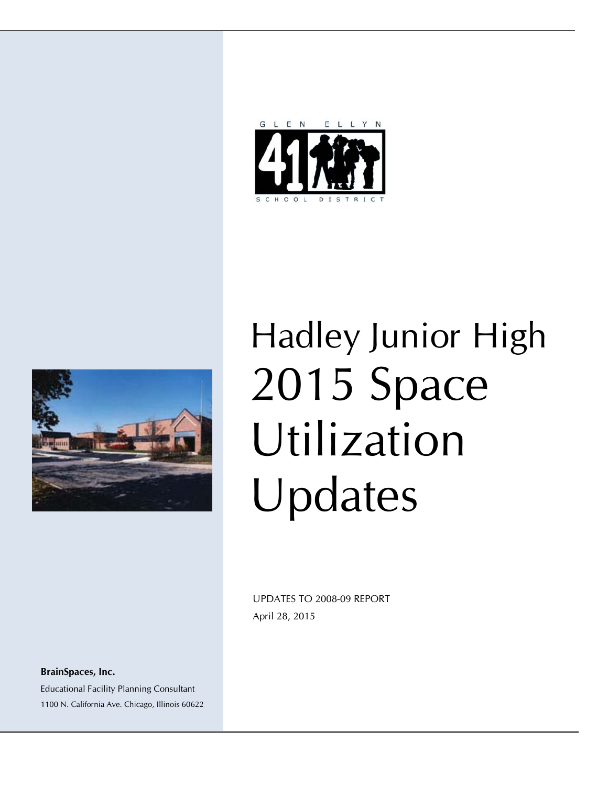



# Hadley Junior High 2015 Space Utilization Updates

 UPDATES TO 2008-09 REPORT April 28, 2015

**BrainSpaces, Inc.**  Educational Facility Planning Consultant 1100 N. California Ave. Chicago, Illinois 60622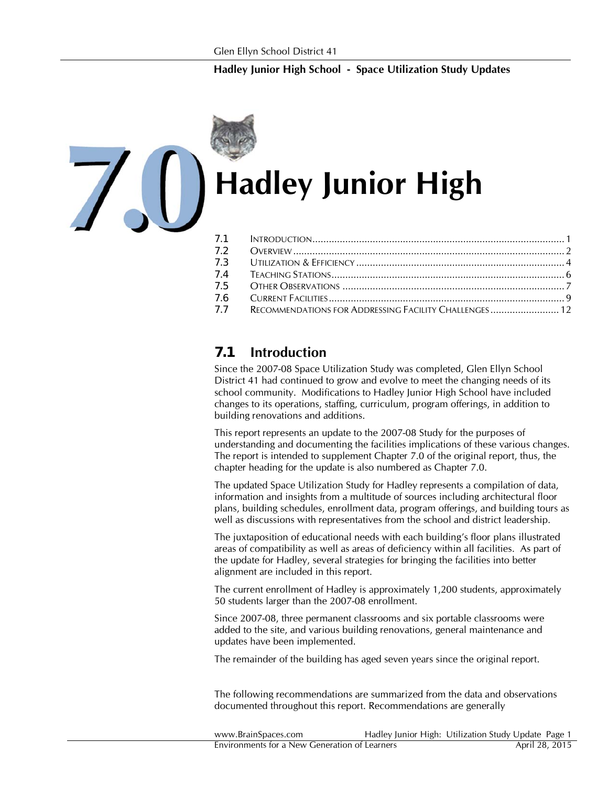

# **Hadley Junior High**

| 7.3 |                                                       |  |
|-----|-------------------------------------------------------|--|
| 7.4 |                                                       |  |
| 7.5 |                                                       |  |
| 7.6 |                                                       |  |
| 7.7 | RECOMMENDATIONS FOR ADDRESSING FACILITY CHALLENGES 12 |  |

# *7.1* **Introduction**

Since the 2007-08 Space Utilization Study was completed, Glen Ellyn School District 41 had continued to grow and evolve to meet the changing needs of its school community. Modifications to Hadley Junior High School have included changes to its operations, staffing, curriculum, program offerings, in addition to building renovations and additions.

This report represents an update to the 2007-08 Study for the purposes of understanding and documenting the facilities implications of these various changes. The report is intended to supplement Chapter 7.0 of the original report, thus, the chapter heading for the update is also numbered as Chapter 7.0.

The updated Space Utilization Study for Hadley represents a compilation of data, information and insights from a multitude of sources including architectural floor plans, building schedules, enrollment data, program offerings, and building tours as well as discussions with representatives from the school and district leadership.

The juxtaposition of educational needs with each building's floor plans illustrated areas of compatibility as well as areas of deficiency within all facilities. As part of the update for Hadley, several strategies for bringing the facilities into better alignment are included in this report.

The current enrollment of Hadley is approximately 1,200 students, approximately 50 students larger than the 2007-08 enrollment.

Since 2007-08, three permanent classrooms and six portable classrooms were added to the site, and various building renovations, general maintenance and updates have been implemented.

The remainder of the building has aged seven years since the original report.

The following recommendations are summarized from the data and observations documented throughout this report. Recommendations are generally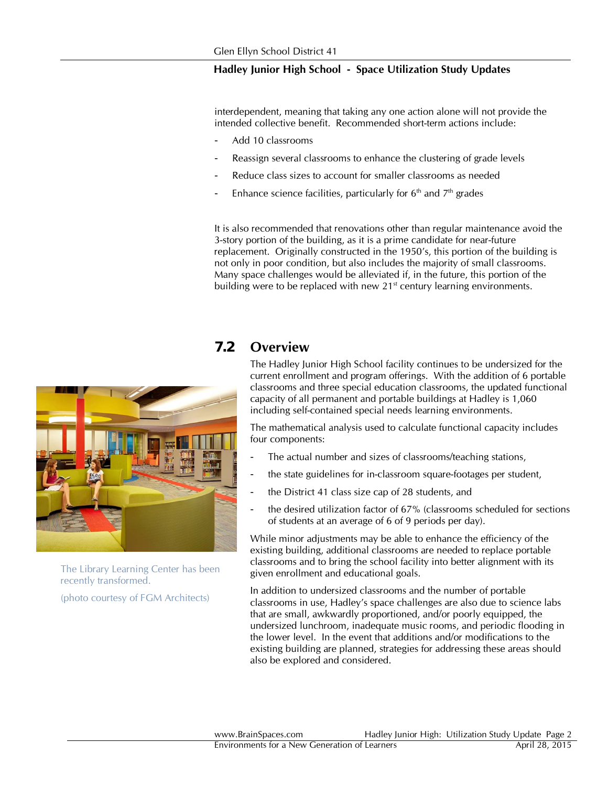interdependent, meaning that taking any one action alone will not provide the intended collective benefit. Recommended short-term actions include:

- Add 10 classrooms
- Reassign several classrooms to enhance the clustering of grade levels
- Reduce class sizes to account for smaller classrooms as needed
- Enhance science facilities, particularly for  $6<sup>th</sup>$  and  $7<sup>th</sup>$  grades

It is also recommended that renovations other than regular maintenance avoid the 3-story portion of the building, as it is a prime candidate for near-future replacement. Originally constructed in the 1950's, this portion of the building is not only in poor condition, but also includes the majority of small classrooms. Many space challenges would be alleviated if, in the future, this portion of the building were to be replaced with new 21<sup>st</sup> century learning environments.

# *7.2* **Overview**

The Hadley Junior High School facility continues to be undersized for the current enrollment and program offerings. With the addition of 6 portable classrooms and three special education classrooms, the updated functional capacity of all permanent and portable buildings at Hadley is 1,060 including self-contained special needs learning environments.

The mathematical analysis used to calculate functional capacity includes four components:

- The actual number and sizes of classrooms/teaching stations,
- the state guidelines for in-classroom square-footages per student,
- the District 41 class size cap of 28 students, and
- the desired utilization factor of 67% (classrooms scheduled for sections of students at an average of 6 of 9 periods per day).

While minor adjustments may be able to enhance the efficiency of the existing building, additional classrooms are needed to replace portable classrooms and to bring the school facility into better alignment with its given enrollment and educational goals.

In addition to undersized classrooms and the number of portable classrooms in use, Hadley's space challenges are also due to science labs that are small, awkwardly proportioned, and/or poorly equipped, the undersized lunchroom, inadequate music rooms, and periodic flooding in the lower level. In the event that additions and/or modifications to the existing building are planned, strategies for addressing these areas should also be explored and considered.



(photo courtesy of FGM Architects)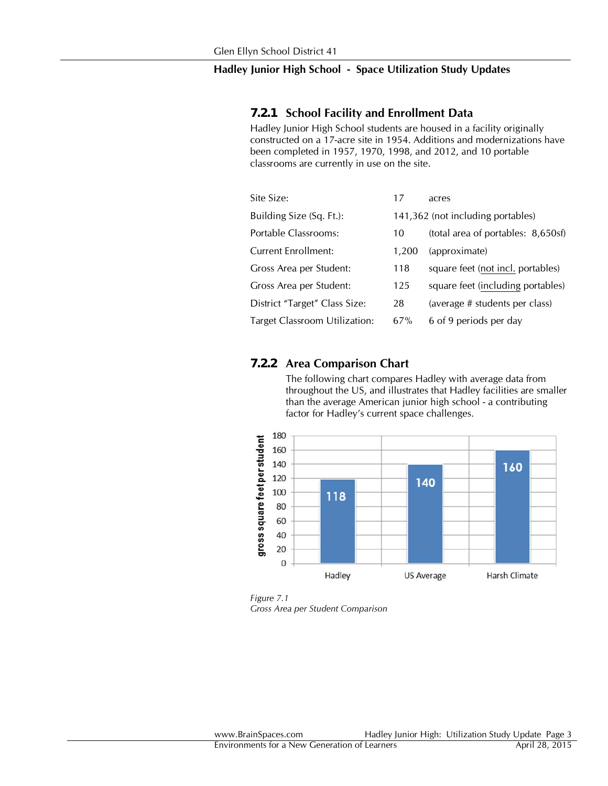#### *7.2.1* **School Facility and Enrollment Data**

Hadley Junior High School students are housed in a facility originally constructed on a 17-acre site in 1954. Additions and modernizations have been completed in 1957, 1970, 1998, and 2012, and 10 portable classrooms are currently in use on the site.

| Site Size:                    | 17                                | acres                              |
|-------------------------------|-----------------------------------|------------------------------------|
| Building Size (Sq. Ft.):      | 141,362 (not including portables) |                                    |
| Portable Classrooms:          | 10                                | (total area of portables: 8,650sf) |
| Current Enrollment:           | 1,200                             | (approximate)                      |
| Gross Area per Student:       | 118                               | square feet (not incl. portables)  |
| Gross Area per Student:       | 125                               | square feet (including portables)  |
| District "Target" Class Size: | 28                                | (average # students per class)     |
| Target Classroom Utilization: | 67%                               | 6 of 9 periods per day             |

#### *7.2.2* **Area Comparison Chart**

The following chart compares Hadley with average data from throughout the US, and illustrates that Hadley facilities are smaller than the average American junior high school - a contributing factor for Hadley's current space challenges.



*Figure 7.1 Gross Area per Student Comparison*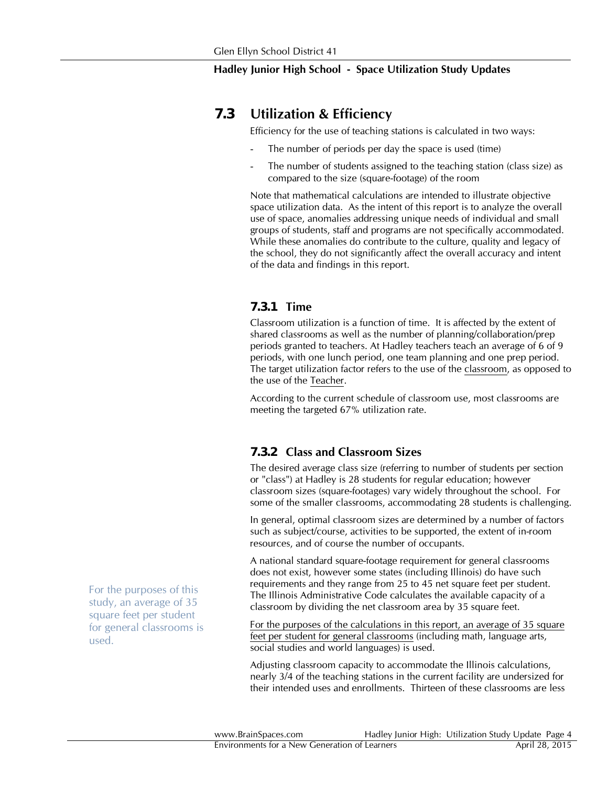### *7.3* **Utilization & Efficiency**

Efficiency for the use of teaching stations is calculated in two ways:

- The number of periods per day the space is used (time)
- The number of students assigned to the teaching station (class size) as compared to the size (square-footage) of the room

Note that mathematical calculations are intended to illustrate objective space utilization data. As the intent of this report is to analyze the overall use of space, anomalies addressing unique needs of individual and small groups of students, staff and programs are not specifically accommodated. While these anomalies do contribute to the culture, quality and legacy of the school, they do not significantly affect the overall accuracy and intent of the data and findings in this report.

#### *7.3.1* **Time**

Classroom utilization is a function of time. It is affected by the extent of shared classrooms as well as the number of planning/collaboration/prep periods granted to teachers. At Hadley teachers teach an average of 6 of 9 periods, with one lunch period, one team planning and one prep period. The target utilization factor refers to the use of the classroom, as opposed to the use of the Teacher.

According to the current schedule of classroom use, most classrooms are meeting the targeted 67% utilization rate.

#### *7.3.2* **Class and Classroom Sizes**

The desired average class size (referring to number of students per section or "class") at Hadley is 28 students for regular education; however classroom sizes (square-footages) vary widely throughout the school. For some of the smaller classrooms, accommodating 28 students is challenging.

In general, optimal classroom sizes are determined by a number of factors such as subject/course, activities to be supported, the extent of in-room resources, and of course the number of occupants.

A national standard square-footage requirement for general classrooms does not exist, however some states (including Illinois) do have such requirements and they range from 25 to 45 net square feet per student. The Illinois Administrative Code calculates the available capacity of a classroom by dividing the net classroom area by 35 square feet.

For the purposes of the calculations in this report, an average of 35 square feet per student for general classrooms (including math, language arts, social studies and world languages) is used.

Adjusting classroom capacity to accommodate the Illinois calculations, nearly 3/4 of the teaching stations in the current facility are undersized for their intended uses and enrollments. Thirteen of these classrooms are less

For the purposes of this study, an average of 35 square feet per student for general classrooms is used.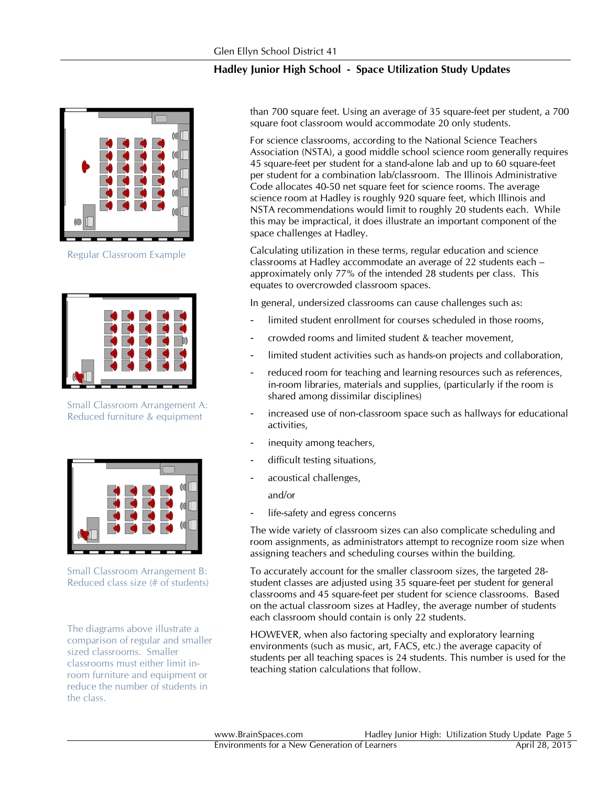

Regular Classroom Example



Small Classroom Arrangement A: Reduced furniture & equipment



Small Classroom Arrangement B: Reduced class size (# of students)

The diagrams above illustrate a comparison of regular and smaller sized classrooms. Smaller classrooms must either limit inroom furniture and equipment or reduce the number of students in the class.

than 700 square feet. Using an average of 35 square-feet per student, a 700 square foot classroom would accommodate 20 only students.

For science classrooms, according to the National Science Teachers Association (NSTA), a good middle school science room generally requires 45 square-feet per student for a stand-alone lab and up to 60 square-feet per student for a combination lab/classroom. The Illinois Administrative Code allocates 40-50 net square feet for science rooms. The average science room at Hadley is roughly 920 square feet, which Illinois and NSTA recommendations would limit to roughly 20 students each. While this may be impractical, it does illustrate an important component of the space challenges at Hadley.

Calculating utilization in these terms, regular education and science classrooms at Hadley accommodate an average of 22 students each – approximately only 77% of the intended 28 students per class. This equates to overcrowded classroom spaces.

In general, undersized classrooms can cause challenges such as:

- limited student enrollment for courses scheduled in those rooms,
- crowded rooms and limited student & teacher movement,
- limited student activities such as hands-on projects and collaboration,
- reduced room for teaching and learning resources such as references, in-room libraries, materials and supplies, (particularly if the room is shared among dissimilar disciplines)
- increased use of non-classroom space such as hallways for educational activities,
- inequity among teachers,
- difficult testing situations,
- acoustical challenges,

and/or

life-safety and egress concerns

The wide variety of classroom sizes can also complicate scheduling and room assignments, as administrators attempt to recognize room size when assigning teachers and scheduling courses within the building.

To accurately account for the smaller classroom sizes, the targeted 28 student classes are adjusted using 35 square-feet per student for general classrooms and 45 square-feet per student for science classrooms. Based on the actual classroom sizes at Hadley, the average number of students each classroom should contain is only 22 students.

HOWEVER, when also factoring specialty and exploratory learning environments (such as music, art, FACS, etc.) the average capacity of students per all teaching spaces is 24 students. This number is used for the teaching station calculations that follow.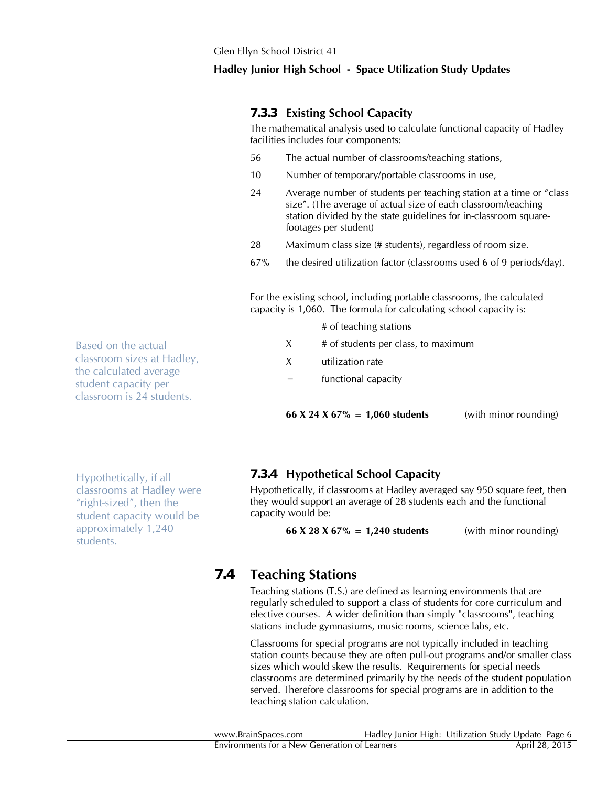#### *7.3.3* **Existing School Capacity**

The mathematical analysis used to calculate functional capacity of Hadley facilities includes four components:

- 56 The actual number of classrooms/teaching stations,
- 10 Number of temporary/portable classrooms in use,
- 24 Average number of students per teaching station at a time or "class size". (The average of actual size of each classroom/teaching station divided by the state guidelines for in-classroom squarefootages per student)
- 28 Maximum class size (# students), regardless of room size.
- 67% the desired utilization factor (classrooms used 6 of 9 periods/day).

For the existing school, including portable classrooms, the calculated capacity is 1,060. The formula for calculating school capacity is:

- # of teaching stations
- $X$  # of students per class, to maximum
- X utilization rate
- = functional capacity

**66 X 24 X 67% = 1,060 students** (with minor rounding)

Hypothetically, if all classrooms at Hadley were "right-sized", then the student capacity would be approximately 1,240 students.

#### *7.3.4* **Hypothetical School Capacity**

Hypothetically, if classrooms at Hadley averaged say 950 square feet, then they would support an average of 28 students each and the functional capacity would be:

**66 X 28 X 67% = 1,240 students** (with minor rounding)

# *7.4* **Teaching Stations**

Teaching stations (T.S.) are defined as learning environments that are regularly scheduled to support a class of students for core curriculum and elective courses. A wider definition than simply "classrooms", teaching stations include gymnasiums, music rooms, science labs, etc.

Classrooms for special programs are not typically included in teaching station counts because they are often pull-out programs and/or smaller class sizes which would skew the results. Requirements for special needs classrooms are determined primarily by the needs of the student population served. Therefore classrooms for special programs are in addition to the teaching station calculation.

Based on the actual classroom sizes at Hadley, the calculated average student capacity per classroom is 24 students.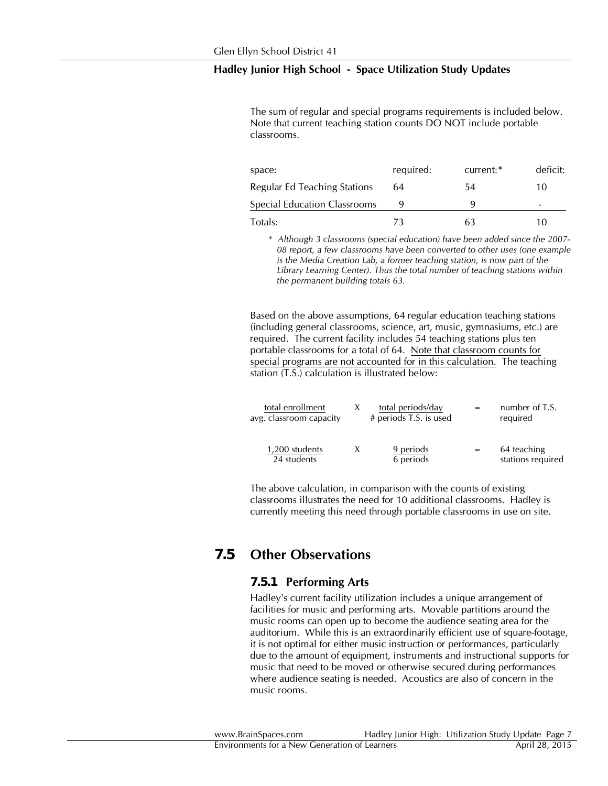The sum of regular and special programs requirements is included below. Note that current teaching station counts DO NOT include portable classrooms.

| space:                       | required: | current:* | deficit: |
|------------------------------|-----------|-----------|----------|
| Regular Ed Teaching Stations | 64        | 54        | 10       |
| Special Education Classrooms |           |           | -        |
| Totals:                      | 72        | 63        |          |

\* *Although 3 classrooms (special education) have been added since the 2007- 08 report, a few classrooms have been converted to other uses (one example is the Media Creation Lab, a former teaching station, is now part of the Library Learning Center). Thus the total number of teaching stations within the permanent building totals 63.*

Based on the above assumptions, 64 regular education teaching stations (including general classrooms, science, art, music, gymnasiums, etc.) are required. The current facility includes 54 teaching stations plus ten portable classrooms for a total of 64. Note that classroom counts for special programs are not accounted for in this calculation. The teaching station (T.S.) calculation is illustrated below:

| total enrollment<br>avg. classroom capacity | total periods/day<br># periods T.S. is used | $=$ | number of T.S.<br>required       |
|---------------------------------------------|---------------------------------------------|-----|----------------------------------|
| 1,200 students<br>24 students               | 9 periods<br>6 periods                      | $=$ | 64 teaching<br>stations required |

The above calculation, in comparison with the counts of existing classrooms illustrates the need for 10 additional classrooms. Hadley is currently meeting this need through portable classrooms in use on site.

# *7.5* **Other Observations**

#### *7.5.1* **Performing Arts**

Hadley's current facility utilization includes a unique arrangement of facilities for music and performing arts. Movable partitions around the music rooms can open up to become the audience seating area for the auditorium. While this is an extraordinarily efficient use of square-footage, it is not optimal for either music instruction or performances, particularly due to the amount of equipment, instruments and instructional supports for music that need to be moved or otherwise secured during performances where audience seating is needed. Acoustics are also of concern in the music rooms.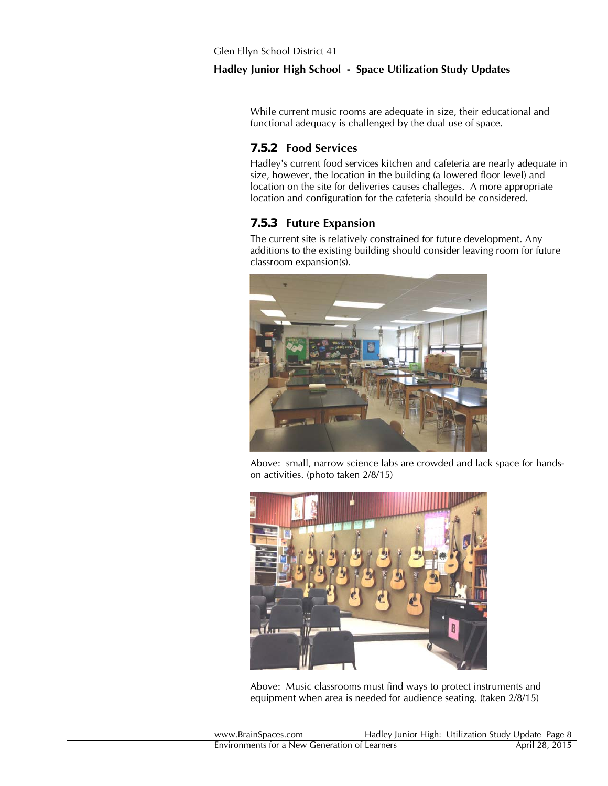While current music rooms are adequate in size, their educational and functional adequacy is challenged by the dual use of space.

#### *7.5.2* **Food Services**

Hadley's current food services kitchen and cafeteria are nearly adequate in size, however, the location in the building (a lowered floor level) and location on the site for deliveries causes challeges. A more appropriate location and configuration for the cafeteria should be considered.

#### *7.5.3* **Future Expansion**

The current site is relatively constrained for future development. Any additions to the existing building should consider leaving room for future classroom expansion(s).



 Above: small, narrow science labs are crowded and lack space for handson activities. (photo taken 2/8/15)



Above: Music classrooms must find ways to protect instruments and equipment when area is needed for audience seating. (taken 2/8/15)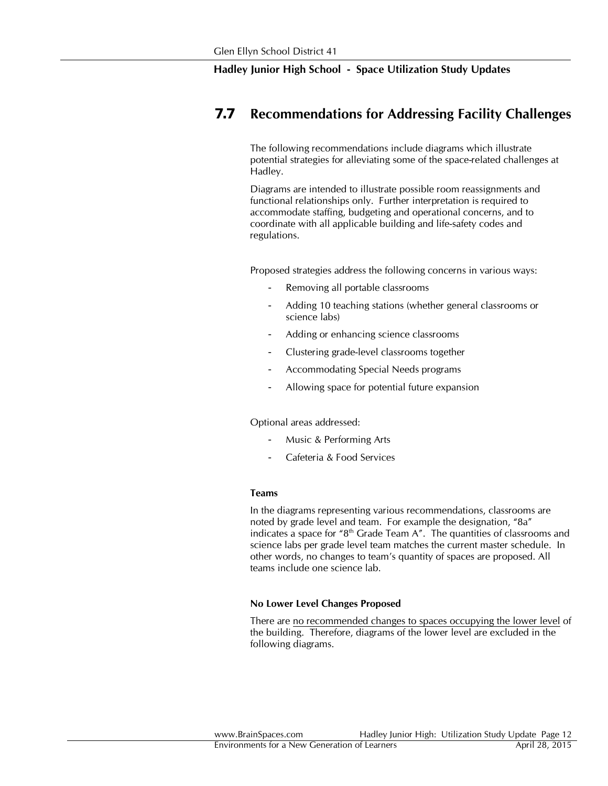# *7.7* **Recommendations for Addressing Facility Challenges**

The following recommendations include diagrams which illustrate potential strategies for alleviating some of the space-related challenges at Hadley.

Diagrams are intended to illustrate possible room reassignments and functional relationships only. Further interpretation is required to accommodate staffing, budgeting and operational concerns, and to coordinate with all applicable building and life-safety codes and regulations.

Proposed strategies address the following concerns in various ways:

- Removing all portable classrooms
- Adding 10 teaching stations (whether general classrooms or science labs)
- Adding or enhancing science classrooms
- Clustering grade-level classrooms together
- Accommodating Special Needs programs
- Allowing space for potential future expansion

Optional areas addressed:

- Music & Performing Arts
- Cafeteria & Food Services

#### **Teams**

In the diagrams representing various recommendations, classrooms are noted by grade level and team. For example the designation, "8a" indicates a space for "8<sup>th</sup> Grade Team A". The quantities of classrooms and science labs per grade level team matches the current master schedule. In other words, no changes to team's quantity of spaces are proposed. All teams include one science lab.

#### **No Lower Level Changes Proposed**

There are no recommended changes to spaces occupying the lower level of the building. Therefore, diagrams of the lower level are excluded in the following diagrams.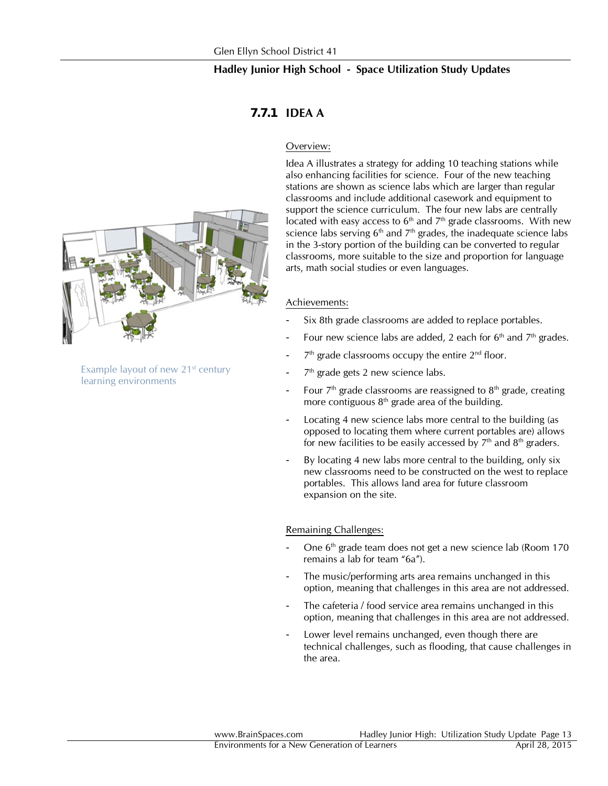## *7.7.1* **IDEA A**

#### Overview:

Idea A illustrates a strategy for adding 10 teaching stations while also enhancing facilities for science. Four of the new teaching stations are shown as science labs which are larger than regular classrooms and include additional casework and equipment to support the science curriculum. The four new labs are centrally located with easy access to  $6<sup>th</sup>$  and  $7<sup>th</sup>$  grade classrooms. With new science labs serving  $6<sup>th</sup>$  and  $7<sup>th</sup>$  grades, the inadequate science labs in the 3-story portion of the building can be converted to regular classrooms, more suitable to the size and proportion for language arts, math social studies or even languages.

#### Achievements:

- Six 8th grade classrooms are added to replace portables.
- Four new science labs are added, 2 each for  $6<sup>th</sup>$  and  $7<sup>th</sup>$  grades.
- $7<sup>th</sup>$  grade classrooms occupy the entire  $2<sup>nd</sup>$  floor.
- $7<sup>th</sup>$  grade gets 2 new science labs.
- Four  $7<sup>th</sup>$  grade classrooms are reassigned to  $8<sup>th</sup>$  grade, creating more contiguous  $8<sup>th</sup>$  grade area of the building.
- Locating 4 new science labs more central to the building (as opposed to locating them where current portables are) allows for new facilities to be easily accessed by  $7<sup>th</sup>$  and  $8<sup>th</sup>$  graders.
- By locating 4 new labs more central to the building, only six new classrooms need to be constructed on the west to replace portables. This allows land area for future classroom expansion on the site.

#### Remaining Challenges:

- One 6<sup>th</sup> grade team does not get a new science lab (Room 170) remains a lab for team "6a").
- The music/performing arts area remains unchanged in this option, meaning that challenges in this area are not addressed.
- The cafeteria / food service area remains unchanged in this option, meaning that challenges in this area are not addressed.
- Lower level remains unchanged, even though there are technical challenges, such as flooding, that cause challenges in the area.



Example layout of new  $21<sup>st</sup>$  century learning environments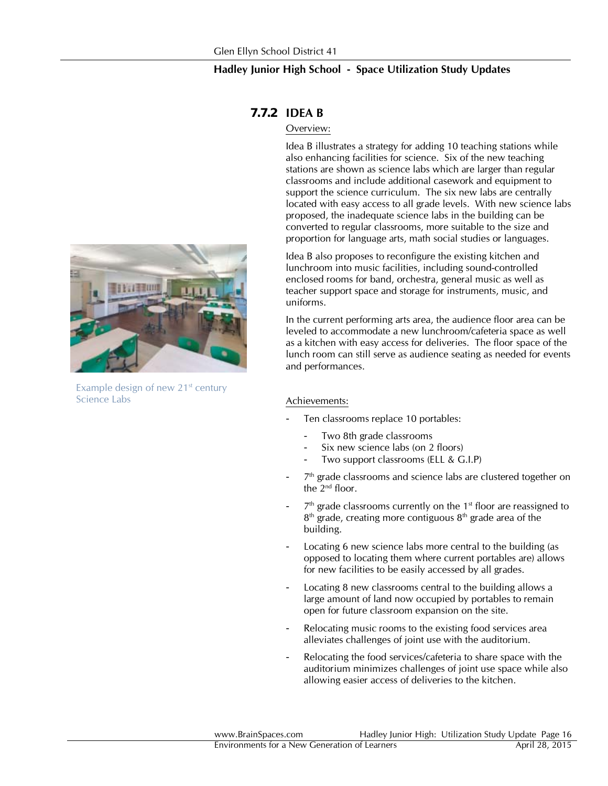

Example design of new 21<sup>st</sup> century Science Labs

# *7.7.2* **IDEA B**

#### Overview:

Idea B illustrates a strategy for adding 10 teaching stations while also enhancing facilities for science. Six of the new teaching stations are shown as science labs which are larger than regular classrooms and include additional casework and equipment to support the science curriculum. The six new labs are centrally located with easy access to all grade levels. With new science labs proposed, the inadequate science labs in the building can be converted to regular classrooms, more suitable to the size and proportion for language arts, math social studies or languages.

Idea B also proposes to reconfigure the existing kitchen and lunchroom into music facilities, including sound-controlled enclosed rooms for band, orchestra, general music as well as teacher support space and storage for instruments, music, and uniforms.

In the current performing arts area, the audience floor area can be leveled to accommodate a new lunchroom/cafeteria space as well as a kitchen with easy access for deliveries. The floor space of the lunch room can still serve as audience seating as needed for events and performances.

#### Achievements:

- Ten classrooms replace 10 portables:
	- Two 8th grade classrooms
	- Six new science labs (on 2 floors)
	- Two support classrooms (ELL & G.I.P)
- $7<sup>th</sup>$  grade classrooms and science labs are clustered together on the 2nd floor.
- $7<sup>th</sup>$  grade classrooms currently on the 1<sup>st</sup> floor are reassigned to  $8<sup>th</sup>$  grade, creating more contiguous  $8<sup>th</sup>$  grade area of the building.
- Locating 6 new science labs more central to the building (as opposed to locating them where current portables are) allows for new facilities to be easily accessed by all grades.
- Locating 8 new classrooms central to the building allows a large amount of land now occupied by portables to remain open for future classroom expansion on the site.
- Relocating music rooms to the existing food services area alleviates challenges of joint use with the auditorium.
- Relocating the food services/cafeteria to share space with the auditorium minimizes challenges of joint use space while also allowing easier access of deliveries to the kitchen.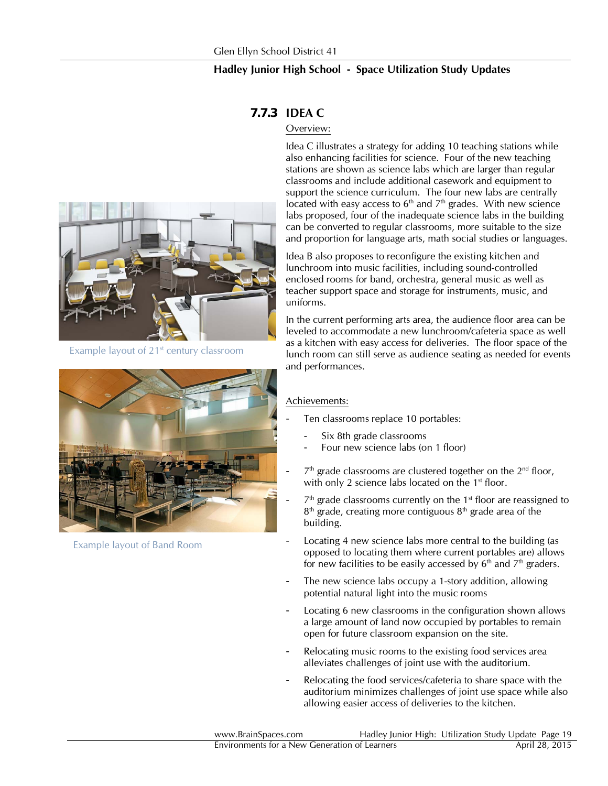

Example layout of 21st century classroom



Example layout of Band Room

# *7.7.3* **IDEA C**

#### Overview:

Idea C illustrates a strategy for adding 10 teaching stations while also enhancing facilities for science. Four of the new teaching stations are shown as science labs which are larger than regular classrooms and include additional casework and equipment to support the science curriculum. The four new labs are centrally located with easy access to  $6<sup>th</sup>$  and  $7<sup>th</sup>$  grades. With new science labs proposed, four of the inadequate science labs in the building can be converted to regular classrooms, more suitable to the size and proportion for language arts, math social studies or languages.

Idea B also proposes to reconfigure the existing kitchen and lunchroom into music facilities, including sound-controlled enclosed rooms for band, orchestra, general music as well as teacher support space and storage for instruments, music, and uniforms.

In the current performing arts area, the audience floor area can be leveled to accommodate a new lunchroom/cafeteria space as well as a kitchen with easy access for deliveries. The floor space of the lunch room can still serve as audience seating as needed for events and performances.

#### Achievements:

- Ten classrooms replace 10 portables:
	- Six 8th grade classrooms
	- Four new science labs (on 1 floor)
- $7<sup>th</sup>$  grade classrooms are clustered together on the  $2<sup>nd</sup>$  floor, with only 2 science labs located on the  $1<sup>st</sup>$  floor.
- $7<sup>th</sup>$  grade classrooms currently on the 1<sup>st</sup> floor are reassigned to  $8<sup>th</sup>$  grade, creating more contiguous  $8<sup>th</sup>$  grade area of the building.
- Locating 4 new science labs more central to the building (as opposed to locating them where current portables are) allows for new facilities to be easily accessed by  $6<sup>th</sup>$  and  $7<sup>th</sup>$  graders.
- The new science labs occupy a 1-story addition, allowing potential natural light into the music rooms
- Locating 6 new classrooms in the configuration shown allows a large amount of land now occupied by portables to remain open for future classroom expansion on the site.
- Relocating music rooms to the existing food services area alleviates challenges of joint use with the auditorium.
- Relocating the food services/cafeteria to share space with the auditorium minimizes challenges of joint use space while also allowing easier access of deliveries to the kitchen.